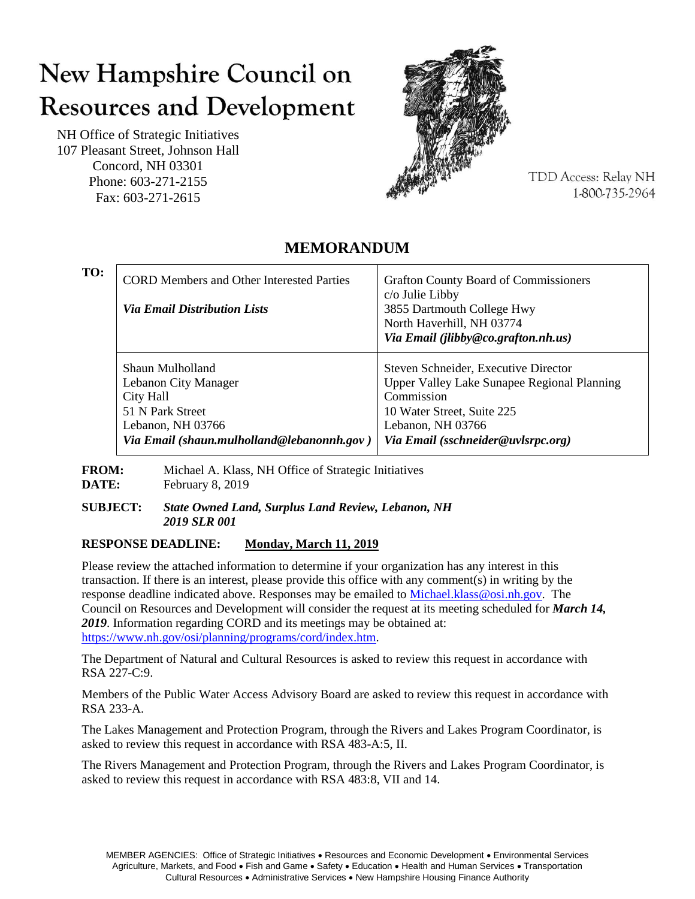## New Hampshire Council on **Resources and Development**

NH Office of Strategic Initiatives 107 Pleasant Street, Johnson Hall Concord, NH 03301 Phone: 603-271-2155 Fax: 603-271-2615



TDD Access: Relay NH 1-800-735-2964

| TO: | <b>CORD Members and Other Interested Parties</b><br><b>Via Email Distribution Lists</b>                                                      | <b>Grafton County Board of Commissioners</b><br>$c/o$ Julie Libby<br>3855 Dartmouth College Hwy<br>North Haverhill, NH 03774<br>Via Email (jlibby@co.grafton.nh.us)                        |
|-----|----------------------------------------------------------------------------------------------------------------------------------------------|--------------------------------------------------------------------------------------------------------------------------------------------------------------------------------------------|
|     | Shaun Mulholland<br>Lebanon City Manager<br>City Hall<br>51 N Park Street<br>Lebanon, NH 03766<br>Via Email (shaun.mulholland@lebanonnh.gov) | Steven Schneider, Executive Director<br>Upper Valley Lake Sunapee Regional Planning<br>Commission<br>10 Water Street, Suite 225<br>Lebanon, NH 03766<br>Via Email (sschneider@uvlsrpc.org) |

#### **MEMORANDUM**

**FROM:** Michael A. Klass, NH Office of Strategic Initiatives **DATE:** February 8, 2019

**SUBJECT:** *State Owned Land, Surplus Land Review, Lebanon, NH 2019 SLR 001*

#### **RESPONSE DEADLINE: Monday, March 11, 2019**

Please review the attached information to determine if your organization has any interest in this transaction. If there is an interest, please provide this office with any comment(s) in writing by the response deadline indicated above. Responses may be emailed to [Michael.klass@osi.nh.gov.](mailto:Michael.klass@osi.nh.gov) The Council on Resources and Development will consider the request at its meeting scheduled for *March 14, 2019*. Information regarding CORD and its meetings may be obtained at: [https://www.nh.gov/osi/planning/programs/cord/index.htm.](https://www.nh.gov/osi/planning/programs/cord/index.htm)

The Department of Natural and Cultural Resources is asked to review this request in accordance with RSA 227-C:9.

Members of the Public Water Access Advisory Board are asked to review this request in accordance with RSA 233-A.

The Lakes Management and Protection Program, through the Rivers and Lakes Program Coordinator, is asked to review this request in accordance with RSA 483-A:5, II.

The Rivers Management and Protection Program, through the Rivers and Lakes Program Coordinator, is asked to review this request in accordance with RSA 483:8, VII and 14.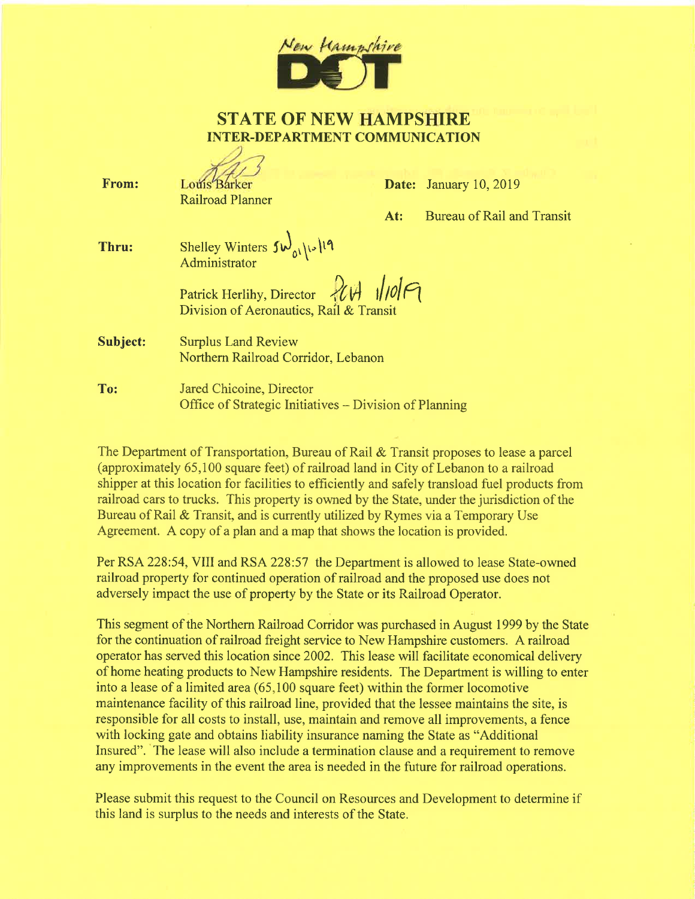

**STATE OF NEW HAMPSHIRE INTER-DEPARTMENT COMMUNICATION** 

From: **Louis Barker Railroad Planner** 

Date: January 10, 2019

**Bureau of Rail and Transit**  $At:$ 

Thru:

> Patrick Herlihy, Director 2014 Division of Aeronautics, Rail & Transit

**Surplus Land Review** Subject: Northern Railroad Corridor, Lebanon

To: Jared Chicoine, Director Office of Strategic Initiatives – Division of Planning

The Department of Transportation, Bureau of Rail & Transit proposes to lease a parcel (approximately 65,100 square feet) of railroad land in City of Lebanon to a railroad shipper at this location for facilities to efficiently and safely transload fuel products from railroad cars to trucks. This property is owned by the State, under the jurisdiction of the Bureau of Rail & Transit, and is currently utilized by Rymes via a Temporary Use Agreement. A copy of a plan and a map that shows the location is provided.

Per RSA 228:54, VIII and RSA 228:57 the Department is allowed to lease State-owned railroad property for continued operation of railroad and the proposed use does not adversely impact the use of property by the State or its Railroad Operator.

This segment of the Northern Railroad Corridor was purchased in August 1999 by the State for the continuation of railroad freight service to New Hampshire customers. A railroad operator has served this location since 2002. This lease will facilitate economical delivery of home heating products to New Hampshire residents. The Department is willing to enter into a lease of a limited area (65,100 square feet) within the former locomotive maintenance facility of this railroad line, provided that the lessee maintains the site, is responsible for all costs to install, use, maintain and remove all improvements, a fence with locking gate and obtains liability insurance naming the State as "Additional" Insured". The lease will also include a termination clause and a requirement to remove any improvements in the event the area is needed in the future for railroad operations.

Please submit this request to the Council on Resources and Development to determine if this land is surplus to the needs and interests of the State.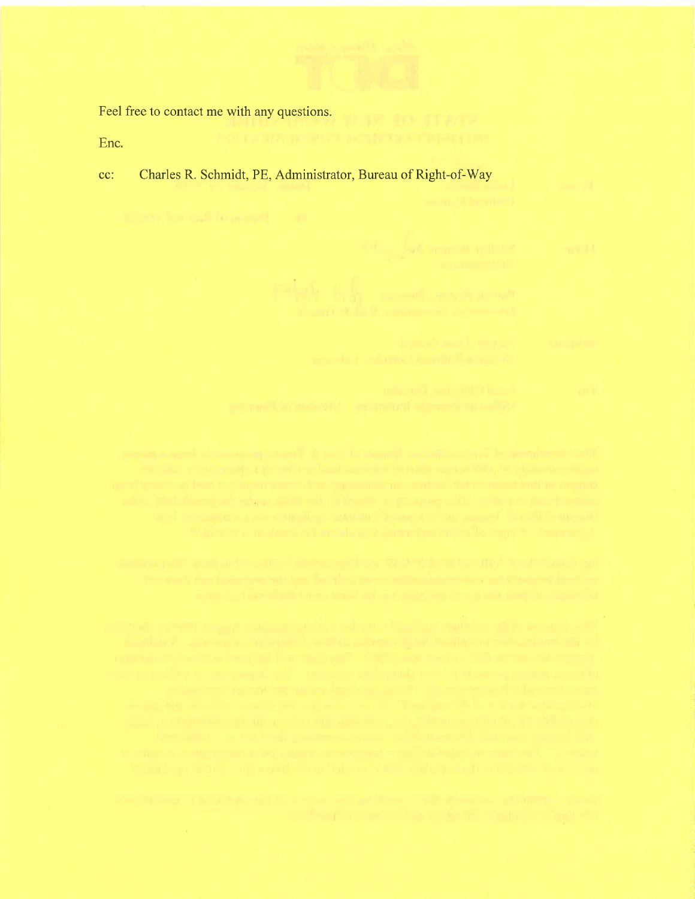Feel free to contact me with any questions.

Enc.

# cc: Charles R. Schmidt, PE, Administrator, Bureau of Right-of-Way

and the problem of the colors of the first state of the company and the first state of the company of the color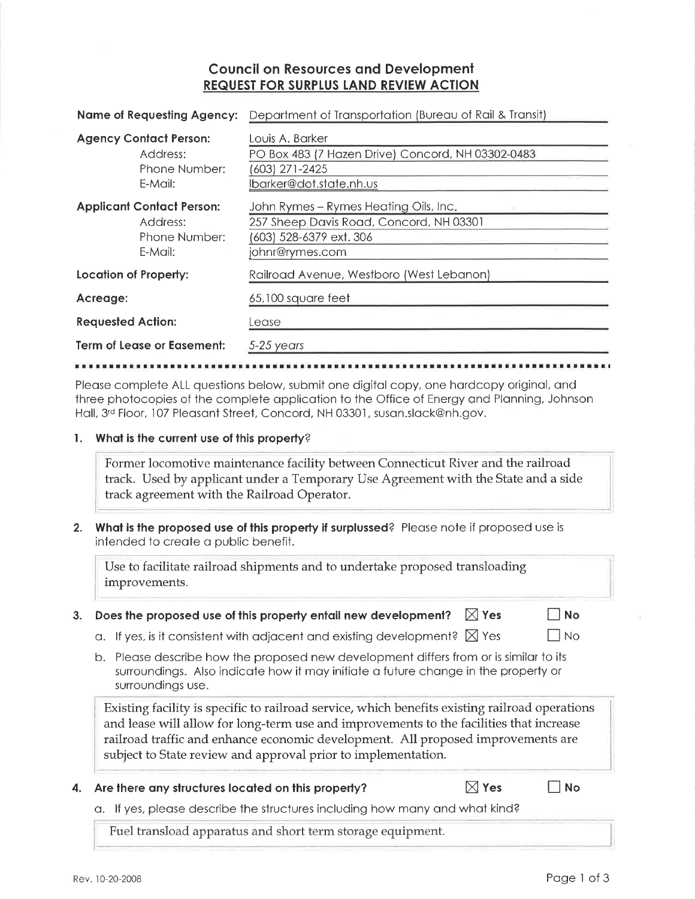#### **Council on Resources and Development REQUEST FOR SURPLUS LAND REVIEW ACTION**

| <b>Name of Requesting Agency:</b>                                        | Department of Transportation (Bureau of Rail & Transit)                                                           |  |  |  |
|--------------------------------------------------------------------------|-------------------------------------------------------------------------------------------------------------------|--|--|--|
| <b>Agency Contact Person:</b><br>Address:<br>Phone Number:<br>$E-M$ ail: | Louis A. Barker<br>PO Box 483 (7 Hazen Drive) Concord, NH 03302-0483<br>(603) 271-2425<br>Ibarker@dot.state.nh.us |  |  |  |
| <b>Applicant Contact Person:</b>                                         | John Rymes - Rymes Heating Oils, Inc.                                                                             |  |  |  |
| Address:                                                                 | 257 Sheep Davis Road, Concord, NH 03301                                                                           |  |  |  |
| Phone Number:                                                            | (603) 528-6379 ext. 306                                                                                           |  |  |  |
| E-Mail:                                                                  | johnr@rymes.com                                                                                                   |  |  |  |
| <b>Location of Property:</b>                                             | Railroad Avenue, Westboro (West Lebanon)                                                                          |  |  |  |
| Acreage:                                                                 | 65,100 square feet                                                                                                |  |  |  |
| <b>Requested Action:</b>                                                 | _ease                                                                                                             |  |  |  |
| Term of Lease or Easement:                                               | 5-25 years                                                                                                        |  |  |  |
|                                                                          |                                                                                                                   |  |  |  |

Please complete ALL questions below, submit one digital copy, one hardcopy original, and three photocopies of the complete application to the Office of Energy and Planning, Johnson Hall, 3<sup>rd</sup> Floor, 107 Pleasant Street, Concord, NH 03301, susan.slack@nh.gov.

#### 1. What is the current use of this property?

Former locomotive maintenance facility between Connecticut River and the railroad track. Used by applicant under a Temporary Use Agreement with the State and a side track agreement with the Railroad Operator.

2. What is the proposed use of this property if surplussed? Please note if proposed use is intended to create a public benefit.

Use to facilitate railroad shipments and to undertake proposed transloading improvements.

- Does the proposed use of this property entail new development?  $\hskip 4mm \boxtimes$  Yes 3.
	- a. If yes, is it consistent with adjacent and existing development?  $\boxtimes$  Yes
	- b. Please describe how the proposed new development differs from or is similar to its surroundings. Also indicate how it may initiate a future change in the property or surroundings use.

Existing facility is specific to railroad service, which benefits existing railroad operations and lease will allow for long-term use and improvements to the facilities that increase railroad traffic and enhance economic development. All proposed improvements are subject to State review and approval prior to implementation.

 $\boxtimes$  Yes  $\Box$  No 4. Are there any structures located on this property?

a. If yes, please describe the structures including how many and what kind?

Fuel transload apparatus and short term storage equipment.

 $\Box$  No

 $\Box$  No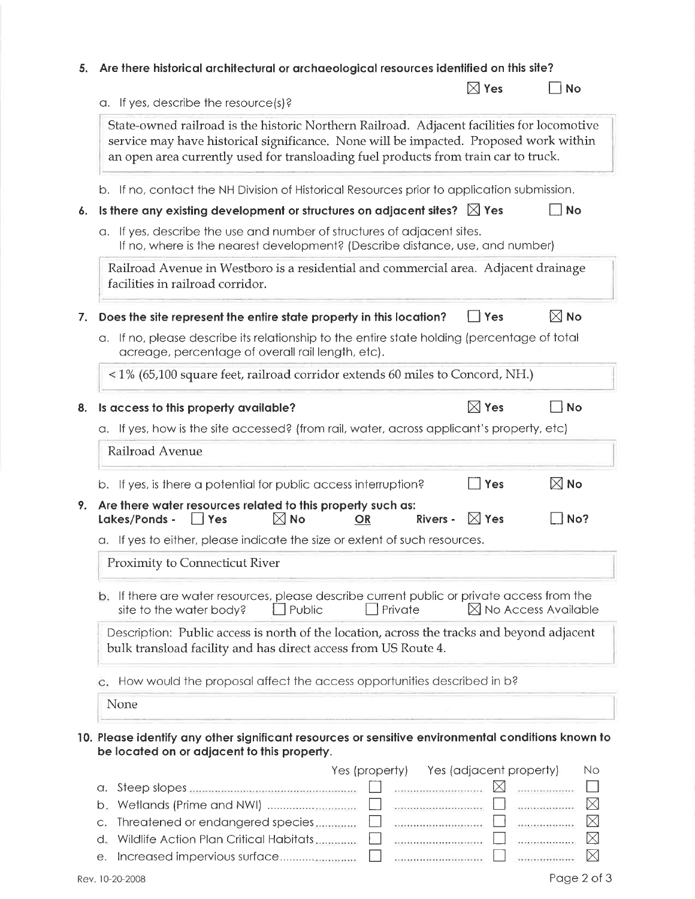| 5. | Are there historical architectural or archaeological resources identified on this site?                                                                                                                                                                                    |                         |                                                        |  |  |  |  |
|----|----------------------------------------------------------------------------------------------------------------------------------------------------------------------------------------------------------------------------------------------------------------------------|-------------------------|--------------------------------------------------------|--|--|--|--|
|    |                                                                                                                                                                                                                                                                            | $\boxtimes$ Yes         | <b>No</b>                                              |  |  |  |  |
|    | a. If yes, describe the resource(s)?                                                                                                                                                                                                                                       |                         |                                                        |  |  |  |  |
|    | State-owned railroad is the historic Northern Railroad. Adjacent facilities for locomotive<br>service may have historical significance. None will be impacted. Proposed work within<br>an open area currently used for transloading fuel products from train car to truck. |                         |                                                        |  |  |  |  |
|    | b. If no, contact the NH Division of Historical Resources prior to application submission.                                                                                                                                                                                 |                         |                                                        |  |  |  |  |
| 6. | Is there any existing development or structures on adjacent sites? $\boxtimes$ Yes                                                                                                                                                                                         |                         | <b>No</b>                                              |  |  |  |  |
|    | If yes, describe the use and number of structures of adjacent sites.<br>a.<br>If no, where is the nearest development? (Describe distance, use, and number)                                                                                                                |                         |                                                        |  |  |  |  |
|    | Railroad Avenue in Westboro is a residential and commercial area. Adjacent drainage<br>facilities in railroad corridor.                                                                                                                                                    |                         |                                                        |  |  |  |  |
| 7. | Does the site represent the entire state property in this location?                                                                                                                                                                                                        | Yes                     | $\boxtimes$ No                                         |  |  |  |  |
|    | a. If no, please describe its relationship to the entire state holding (percentage of total<br>acreage, percentage of overall rail length, etc).                                                                                                                           |                         |                                                        |  |  |  |  |
|    | $\leq$ 1% (65,100 square feet, railroad corridor extends 60 miles to Concord, NH.)                                                                                                                                                                                         |                         |                                                        |  |  |  |  |
|    | Is access to this property available?                                                                                                                                                                                                                                      | $\boxtimes$ Yes         | <b>No</b>                                              |  |  |  |  |
|    | If yes, how is the site accessed? (from rail, water, across applicant's property, etc)<br>a.                                                                                                                                                                               |                         |                                                        |  |  |  |  |
|    | Railroad Avenue                                                                                                                                                                                                                                                            |                         |                                                        |  |  |  |  |
|    |                                                                                                                                                                                                                                                                            |                         |                                                        |  |  |  |  |
|    | b. If yes, is there a potential for public access interruption?                                                                                                                                                                                                            | Yes                     | $\boxtimes$ No                                         |  |  |  |  |
| 9. | Are there water resources related to this property such as:<br>$\boxtimes$ No<br>Lakes/Ponds -<br> Yes<br>Rivers -<br><b>OR</b>                                                                                                                                            | $\boxtimes$ Yes         | No?                                                    |  |  |  |  |
|    | a. If yes to either, please indicate the size or extent of such resources.                                                                                                                                                                                                 |                         |                                                        |  |  |  |  |
|    | <b>Proximity to Connecticut River</b>                                                                                                                                                                                                                                      |                         |                                                        |  |  |  |  |
|    | If there are water resources, please describe current public or private access from the<br>b.<br>$\Box$ Public<br>Private<br>site to the water body?                                                                                                                       |                         | $\boxtimes$ No Access Available                        |  |  |  |  |
|    | Description: Public access is north of the location, across the tracks and beyond adjacent<br>bulk transload facility and has direct access from US Route 4.                                                                                                               |                         |                                                        |  |  |  |  |
|    | How would the proposal affect the access opportunities described in b?<br>С.                                                                                                                                                                                               |                         |                                                        |  |  |  |  |
|    | None                                                                                                                                                                                                                                                                       |                         |                                                        |  |  |  |  |
|    | 10. Please identify any other significant resources or sensitive environmental conditions known to<br>be located on or adjacent to this property.<br>Yes (property)                                                                                                        | Yes (adjacent property) | Νo                                                     |  |  |  |  |
|    | а.                                                                                                                                                                                                                                                                         | ⊠                       |                                                        |  |  |  |  |
|    | b.                                                                                                                                                                                                                                                                         |                         | .<br>2000 - Charles Britain, actrice actrice (b. 1917) |  |  |  |  |
|    | Threatened or endangered species<br>C.                                                                                                                                                                                                                                     |                         | $\boxtimes$                                            |  |  |  |  |
|    | Wildlife Action Plan Critical Habitats<br>d.                                                                                                                                                                                                                               |                         | X<br>.                                                 |  |  |  |  |
|    | е.                                                                                                                                                                                                                                                                         |                         | $\boxtimes$<br>                                        |  |  |  |  |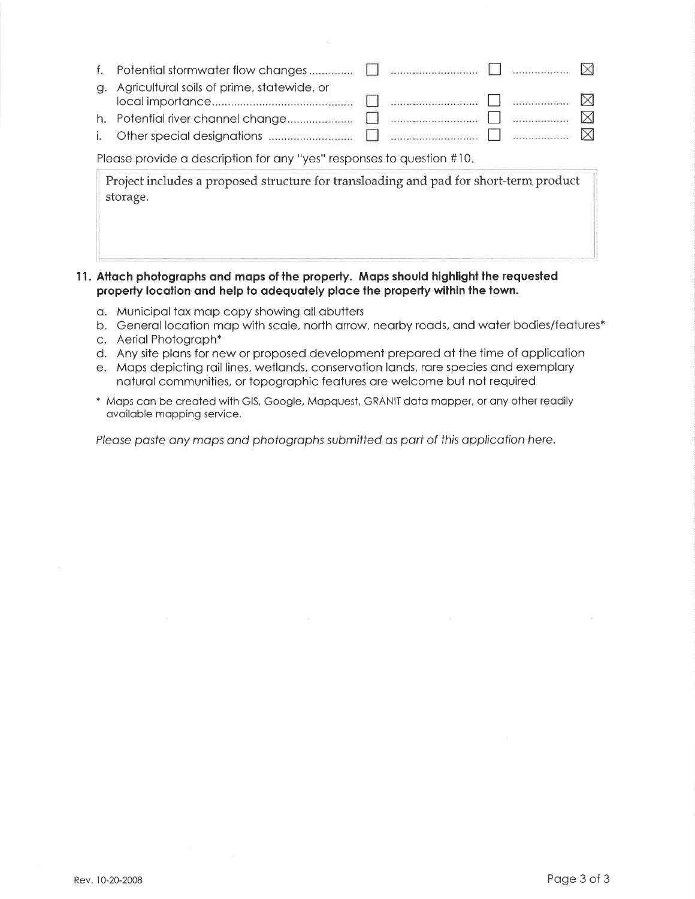| $\alpha$ . | Agricultural soils of prime, statewide, or |                                                                                                                                                                                                                                      |  |  |
|------------|--------------------------------------------|--------------------------------------------------------------------------------------------------------------------------------------------------------------------------------------------------------------------------------------|--|--|
|            |                                            |                                                                                                                                                                                                                                      |  |  |
| L.         |                                            | <b>The component of the component of the component of the component of the component of the component of the component of the component of the component of the component of the component of the component of the component of </b> |  |  |

Please provide a description for any "yes" responses to question #10,

Project includes a proposed structure for transloading and pad for short-term product storage.

#### 11. Attach photographs and maps of the property. Maps should highlight the requested property location and help to adequately place the property within the town.

- a. Municipal tax map copy showing all abutters
- b. General location map with scale, north arrow, nearby roads, and water bodies/features\*
- c. Aerial Photograph\*
- d. Any site plans for new or proposed development prepared at the time of application
- e. Maps depicting rail lines, wetlands, conservation lands, rare species and exemplary natural communities, or topographic features are welcome but not required
- \* Maps can be created with GIS, Google, Mapquest, GRANIT data mapper, or any other readily available mapping service.

Please paste any maps and photographs submitted as part of this application here.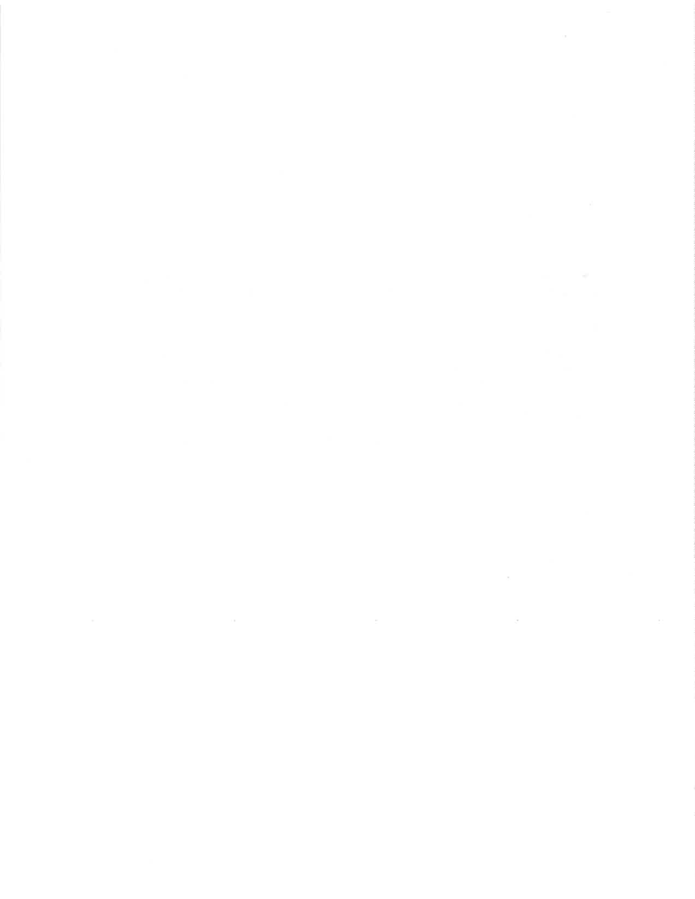$\alpha$  . <br> <br> :  $\alpha$ 

 $\mathcal{O}(\mathcal{O}_\mathcal{O})$  . In the  $\mathcal{O}(\mathcal{O}_\mathcal{O})$  $\mathbb{R}^d$  . The contract of the contract of the contract of the contract of the contract of the contract of the contract of the contract of the contract of the contract of the contract of the contract of the contract of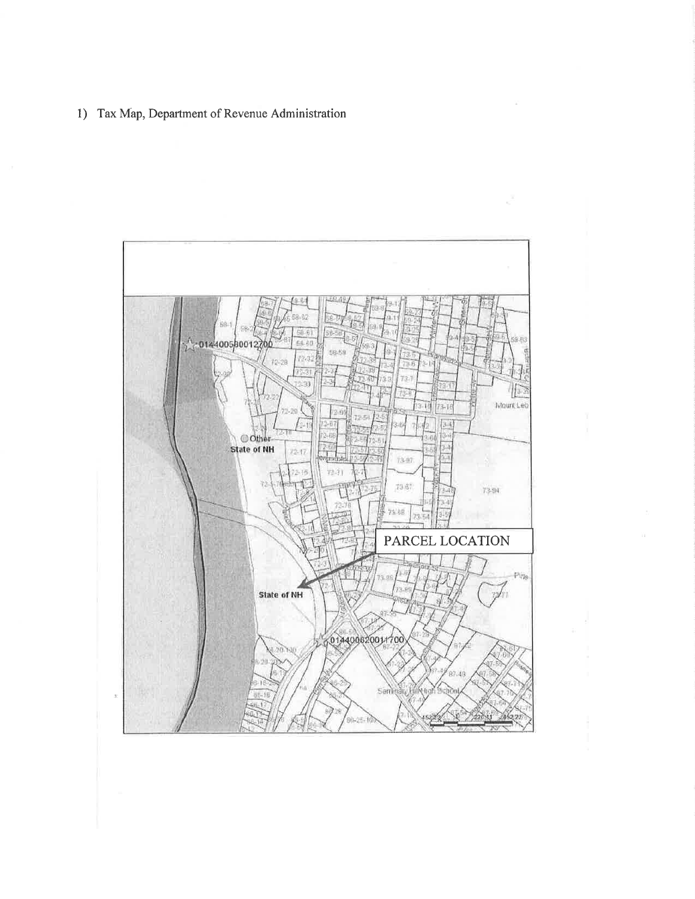1) Tax Map, Department of Revenue Administration

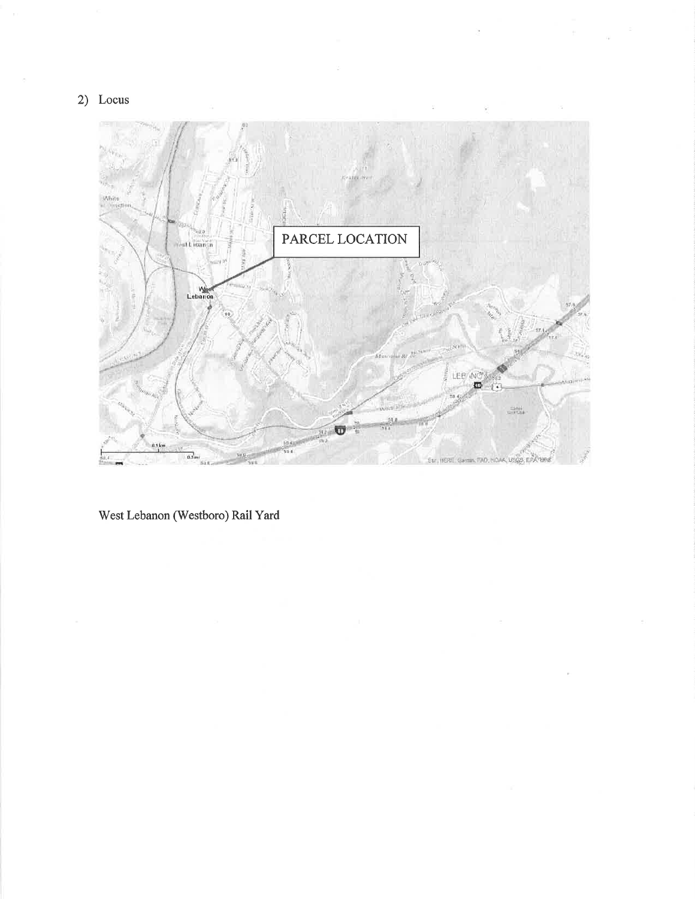### 2) Locus



West Lebanon (Westboro) Rail Yard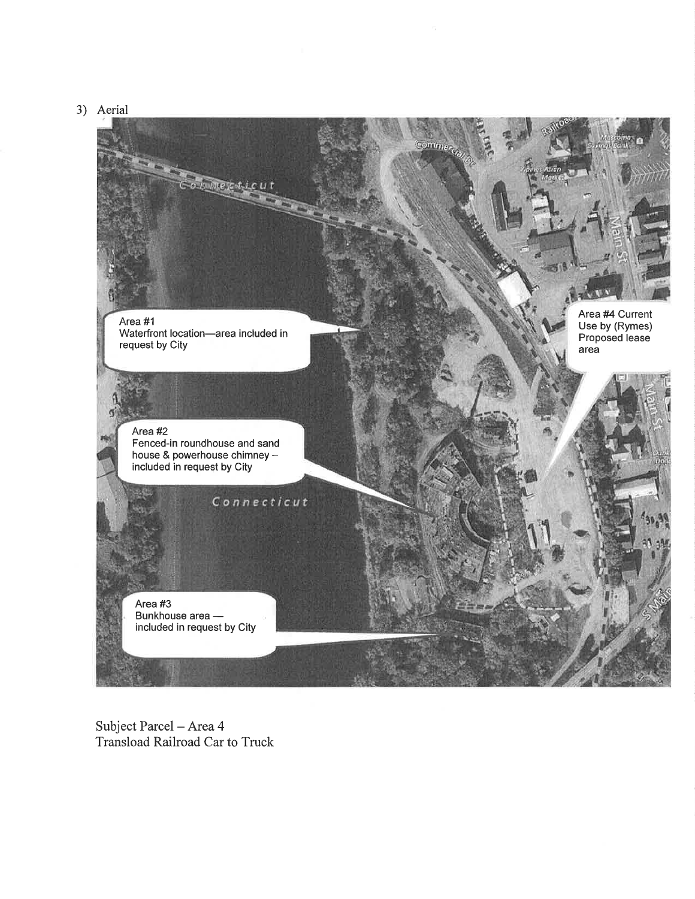3) Aerial



Subject Parcel - Area 4 Transload Railroad Car to Truck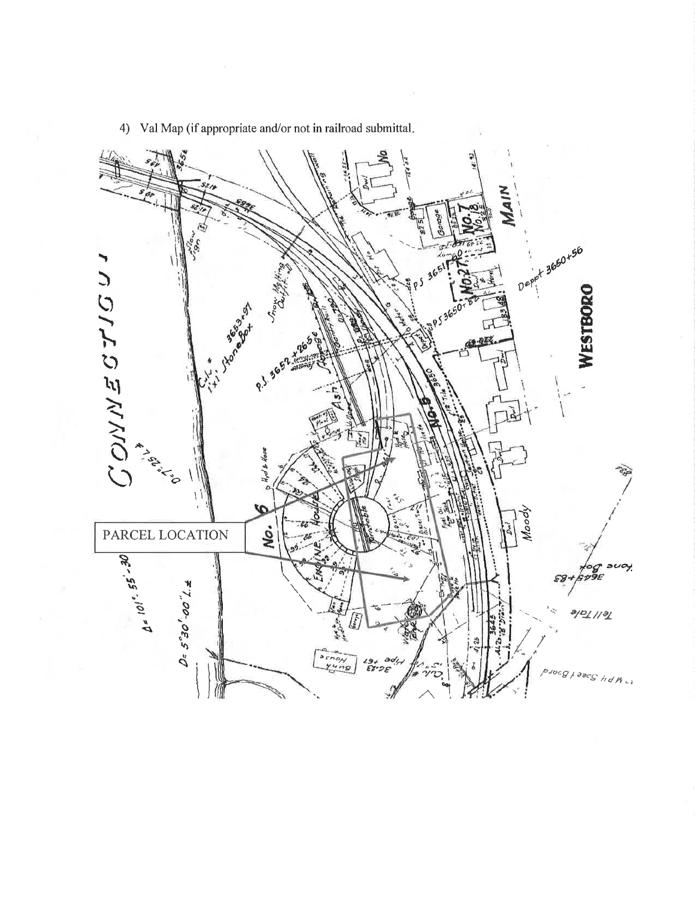

4) Val Map (if appropriate and/or not in railroad submittal.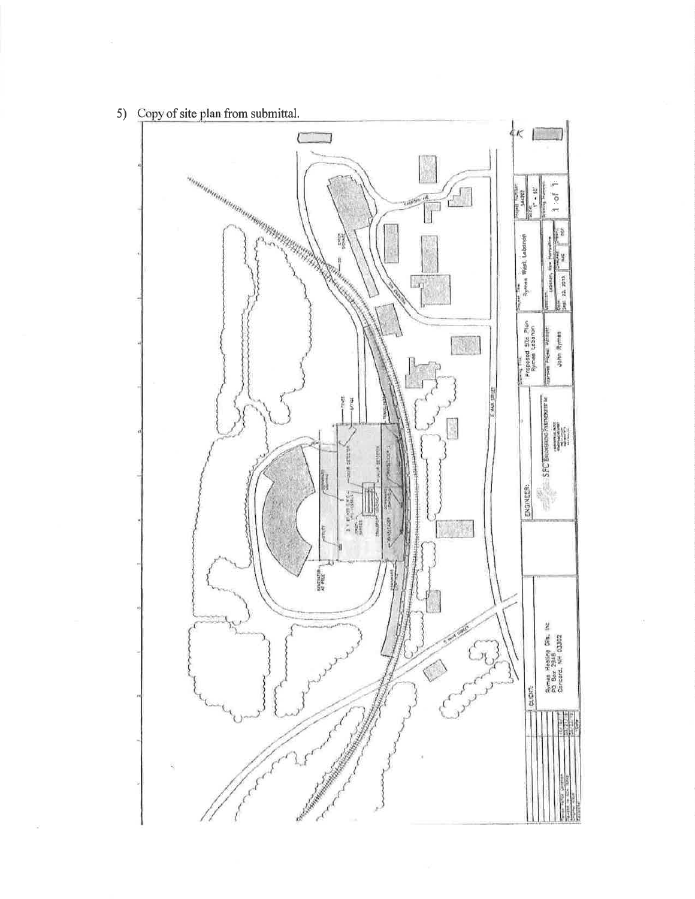

 $\alpha$ 

 $\sim$ 

 $\omega$